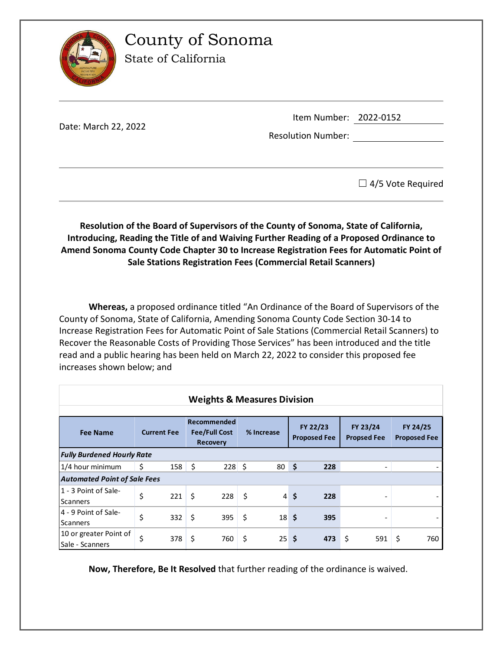

County of Sonoma

State of California

|                      | Item Number: 2022-0152    |  |
|----------------------|---------------------------|--|
| Date: March 22, 2022 | <b>Resolution Number:</b> |  |
|                      |                           |  |

 $\Box$  4/5 Vote Required

**Resolution of the Board of Supervisors of the County of Sonoma, State of California, Introducing, Reading the Title of and Waiving Further Reading of a Proposed Ordinance to Amend Sonoma County Code Chapter 30 to Increase Registration Fees for Automatic Point of Sale Stations Registration Fees (Commercial Retail Scanners)**

**Whereas,** a proposed ordinance titled "An Ordinance of the Board of Supervisors of the County of Sonoma, State of California, Amending Sonoma County Code Section 30-14 to Increase Registration Fees for Automatic Point of Sale Stations (Commercial Retail Scanners) to Recover the Reasonable Costs of Providing Those Services" has been introduced and the title read and a public hearing has been held on March 22, 2022 to consider this proposed fee increases shown below; and

| <b>Weights &amp; Measures Division</b>    |                    |              |                                                        |          |            |                 |                                 |     |                                |                          |                                 |     |
|-------------------------------------------|--------------------|--------------|--------------------------------------------------------|----------|------------|-----------------|---------------------------------|-----|--------------------------------|--------------------------|---------------------------------|-----|
| <b>Fee Name</b>                           | <b>Current Fee</b> |              | Recommended<br><b>Fee/Full Cost</b><br><b>Recovery</b> |          | % Increase |                 | FY 22/23<br><b>Proposed Fee</b> |     | FY 23/24<br><b>Propsed Fee</b> |                          | FY 24/25<br><b>Proposed Fee</b> |     |
| <b>Fully Burdened Hourly Rate</b>         |                    |              |                                                        |          |            |                 |                                 |     |                                |                          |                                 |     |
| 1/4 hour minimum                          | \$                 | $158 \mid 5$ |                                                        | $228$ \$ |            | 80              | $\ddot{\bm{\zeta}}$             | 228 |                                | $\overline{\phantom{a}}$ |                                 |     |
| <b>Automated Point of Sale Fees</b>       |                    |              |                                                        |          |            |                 |                                 |     |                                |                          |                                 |     |
| 1 - 3 Point of Sale-<br><b>Scanners</b>   | \$                 | 221          | \$                                                     | 228      | \$         |                 | $4\overline{\smash{5}}$         | 228 |                                |                          |                                 |     |
| 4 - 9 Point of Sale-<br><b>Scanners</b>   | \$                 | 332          | -\$                                                    | 395      | \$         | 18 <sup>5</sup> |                                 | 395 |                                | $\overline{\phantom{0}}$ |                                 |     |
| 10 or greater Point of<br>Sale - Scanners | \$                 | 378          | \$                                                     | 760      | \$         | $25$ \$         |                                 | 473 | \$                             | 591                      | \$                              | 760 |

**Now, Therefore, Be It Resolved** that further reading of the ordinance is waived.